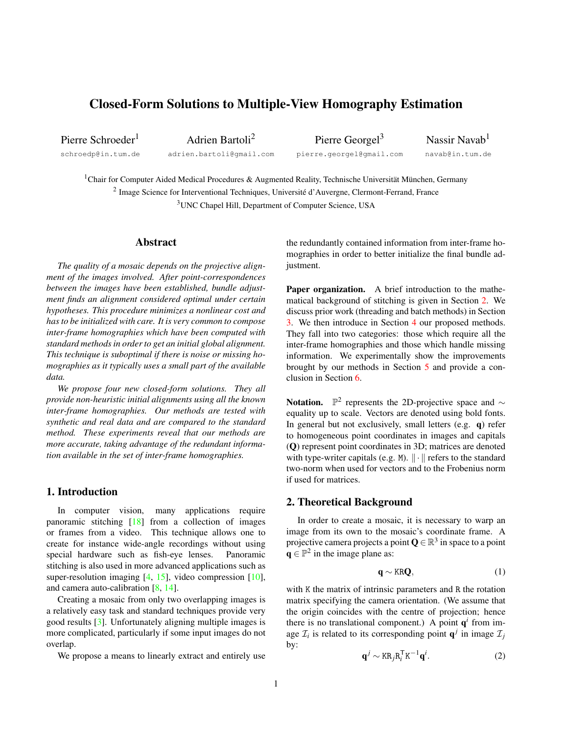# <span id="page-0-1"></span>Closed-Form Solutions to Multiple-View Homography Estimation

Pierre Schroeder<sup>1</sup> schroedp@in.tum.de

Adrien Bartoli<sup>2</sup> adrien.bartoli@gmail.com

Pierre Georgel<sup>3</sup> pierre.georgel@gmail.com

Nassir Navab<sup>1</sup> navab@in.tum.de

<sup>1</sup>Chair for Computer Aided Medical Procedures & Augmented Reality, Technische Universität München, Germany <sup>2</sup> Image Science for Interventional Techniques, Université d'Auvergne, Clermont-Ferrand, France <sup>3</sup>UNC Chapel Hill, Department of Computer Science, USA

# Abstract

*The quality of a mosaic depends on the projective alignment of the images involved. After point-correspondences between the images have been established, bundle adjustment finds an alignment considered optimal under certain hypotheses. This procedure minimizes a nonlinear cost and has to be initialized with care. It is very common to compose inter-frame homographies which have been computed with standard methods in order to get an initial global alignment. This technique is suboptimal if there is noise or missing homographies as it typically uses a small part of the available data.*

*We propose four new closed-form solutions. They all provide non-heuristic initial alignments using all the known inter-frame homographies. Our methods are tested with synthetic and real data and are compared to the standard method. These experiments reveal that our methods are more accurate, taking advantage of the redundant information available in the set of inter-frame homographies.*

# 1. Introduction

In computer vision, many applications require panoramic stitching [\[18\]](#page-7-0) from a collection of images or frames from a video. This technique allows one to create for instance wide-angle recordings without using special hardware such as fish-eye lenses. Panoramic stitching is also used in more advanced applications such as super-resolution imaging [\[4,](#page-7-1) [15\]](#page-7-2), video compression [\[10\]](#page-7-3), and camera auto-calibration [\[8,](#page-7-4) [14\]](#page-7-5).

Creating a mosaic from only two overlapping images is a relatively easy task and standard techniques provide very good results [\[3\]](#page-7-6). Unfortunately aligning multiple images is more complicated, particularly if some input images do not overlap.

We propose a means to linearly extract and entirely use

the redundantly contained information from inter-frame homographies in order to better initialize the final bundle adjustment.

Paper organization. A brief introduction to the mathematical background of stitching is given in Section [2.](#page-0-0) We discuss prior work (threading and batch methods) in Section [3.](#page-1-0) We then introduce in Section [4](#page-2-0) our proposed methods. They fall into two categories: those which require all the inter-frame homographies and those which handle missing information. We experimentally show the improvements brought by our methods in Section [5](#page-3-0) and provide a conclusion in Section [6.](#page-6-0)

Notation.  $\mathbb{P}^2$  represents the 2D-projective space and  $\sim$ equality up to scale. Vectors are denoted using bold fonts. In general but not exclusively, small letters (e.g. q) refer to homogeneous point coordinates in images and capitals (Q) represent point coordinates in 3D; matrices are denoted with type-writer capitals (e.g. M).  $\|\cdot\|$  refers to the standard two-norm when used for vectors and to the Frobenius norm if used for matrices.

# <span id="page-0-0"></span>2. Theoretical Background

In order to create a mosaic, it is necessary to warp an image from its own to the mosaic's coordinate frame. A projective camera projects a point  $\mathbf{Q} \in \mathbb{R}^3$  in space to a point  $\mathbf{q} \in \mathbb{P}^2$  in the image plane as:

$$
\mathbf{q} \sim \text{KRQ},\tag{1}
$$

with K the matrix of intrinsic parameters and R the rotation matrix specifying the camera orientation. (We assume that the origin coincides with the centre of projection; hence there is no translational component.) A point  $q<sup>i</sup>$  from image  $\mathcal{I}_i$  is related to its corresponding point  $\mathbf{q}^j$  in image  $\mathcal{I}_j$ by:

$$
\mathbf{q}^j \sim \text{KR}_j \mathbf{R}_i^{\mathsf{T}} \mathbf{K}^{-1} \mathbf{q}^i.
$$
 (2)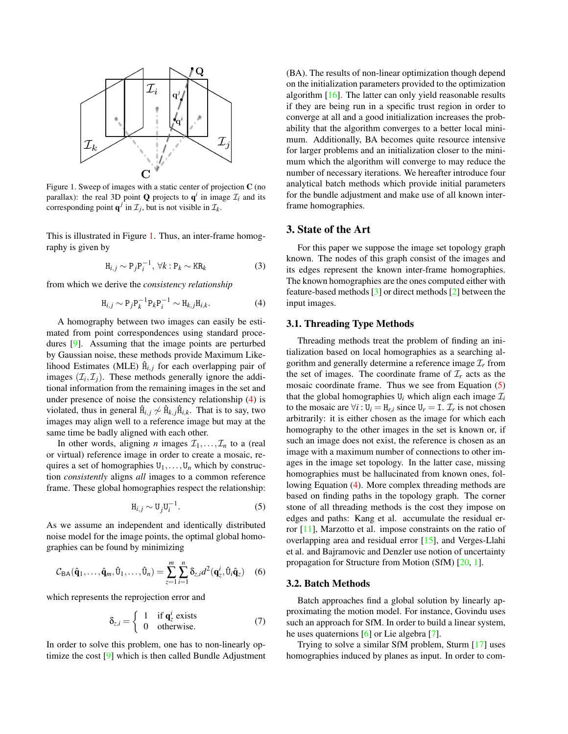<span id="page-1-4"></span>

<span id="page-1-1"></span>Figure 1. Sweep of images with a static center of projection C (no parallax): the real 3D point **Q** projects to  $q^i$  in image  $\mathcal{I}_i$  and its corresponding point  $\mathbf{q}^j$  in  $\mathcal{I}_j$ , but is not visible in  $\mathcal{I}_k$ .

This is illustrated in Figure [1.](#page-1-1) Thus, an inter-frame homography is given by

$$
H_{i,j} \sim P_j P_i^{-1}, \ \forall k : P_k \sim KR_k \tag{3}
$$

from which we derive the *consistency relationship*

<span id="page-1-2"></span>
$$
H_{i,j} \sim P_j P_k^{-1} P_k P_i^{-1} \sim H_{k,j} H_{i,k}.
$$
 (4)

A homography between two images can easily be estimated from point correspondences using standard procedures [\[9\]](#page-7-7). Assuming that the image points are perturbed by Gaussian noise, these methods provide Maximum Likelihood Estimates (MLE)  $\hat{H}_{i,j}$  for each overlapping pair of images  $(\mathcal{I}_i, \mathcal{I}_j)$ . These methods generally ignore the additional information from the remaining images in the set and under presence of noise the consistency relationship [\(4\)](#page-1-2) is violated, thus in general  $\hat{H}_{i,j} \nsim \hat{H}_{k,j} \hat{H}_{i,k}$ . That is to say, two images may align well to a reference image but may at the same time be badly aligned with each other.

In other words, aligning *n* images  $\mathcal{I}_1, \ldots, \mathcal{I}_n$  to a (real or virtual) reference image in order to create a mosaic, requires a set of homographies  $U_1, \ldots, U_n$  which by construction *consistently* aligns *all* images to a common reference frame. These global homographies respect the relationship:

<span id="page-1-3"></span>
$$
\mathbf{H}_{i,j} \sim \mathbf{U}_j \mathbf{U}_i^{-1}.\tag{5}
$$

As we assume an independent and identically distributed noise model for the image points, the optimal global homographies can be found by minimizing

$$
C_{\text{BA}}(\hat{\mathbf{q}}_1,\ldots,\hat{\mathbf{q}}_m,\hat{\mathbf{U}}_1,\ldots,\hat{\mathbf{U}}_n) = \sum_{z=1}^m \sum_{i=1}^n \delta_{z,i} d^2(\mathbf{q}_z^i,\hat{\mathbf{U}}_i \hat{\mathbf{q}}_z)
$$
 (6)

which represents the reprojection error and

$$
\delta_{z,i} = \begin{cases} 1 & \text{if } \mathbf{q}_z^i \text{ exists} \\ 0 & \text{otherwise.} \end{cases}
$$
 (7)

In order to solve this problem, one has to non-linearly optimize the cost [\[9\]](#page-7-7) which is then called Bundle Adjustment

(BA). The results of non-linear optimization though depend on the initialization parameters provided to the optimization algorithm [\[16\]](#page-7-8). The latter can only yield reasonable results if they are being run in a specific trust region in order to converge at all and a good initialization increases the probability that the algorithm converges to a better local minimum. Additionally, BA becomes quite resource intensive for larger problems and an initialization closer to the minimum which the algorithm will converge to may reduce the number of necessary iterations. We hereafter introduce four analytical batch methods which provide initial parameters for the bundle adjustment and make use of all known interframe homographies.

# <span id="page-1-0"></span>3. State of the Art

For this paper we suppose the image set topology graph known. The nodes of this graph consist of the images and its edges represent the known inter-frame homographies. The known homographies are the ones computed either with feature-based methods [\[3\]](#page-7-6) or direct methods [\[2\]](#page-7-9) between the input images.

### 3.1. Threading Type Methods

Threading methods treat the problem of finding an initialization based on local homographies as a searching algorithm and generally determine a reference image  $\mathcal{I}_r$  from the set of images. The coordinate frame of  $\mathcal{I}_r$  acts as the mosaic coordinate frame. Thus we see from Equation [\(5\)](#page-1-3) that the global homographies  $U_i$  which align each image  $\mathcal{I}_i$ to the mosaic are  $\forall i: U_i = H_{r,i}$  since  $U_r = I$ .  $\mathcal{I}_r$  is not chosen arbitrarily: it is either chosen as the image for which each homography to the other images in the set is known or, if such an image does not exist, the reference is chosen as an image with a maximum number of connections to other images in the image set topology. In the latter case, missing homographies must be hallucinated from known ones, following Equation [\(4\)](#page-1-2). More complex threading methods are based on finding paths in the topology graph. The corner stone of all threading methods is the cost they impose on edges and paths: Kang et al. accumulate the residual error [\[11\]](#page-7-10), Marzotto et al. impose constraints on the ratio of overlapping area and residual error [\[15\]](#page-7-2), and Verges-Llahi et al. and Bajramovic and Denzler use notion of uncertainty propagation for Structure from Motion (SfM) [\[20,](#page-7-11) [1\]](#page-7-12).

### 3.2. Batch Methods

Batch approaches find a global solution by linearly approximating the motion model. For instance, Govindu uses such an approach for SfM. In order to build a linear system, he uses quaternions [\[6\]](#page-7-13) or Lie algebra [\[7\]](#page-7-14).

Trying to solve a similar SfM problem, Sturm [\[17\]](#page-7-15) uses homographies induced by planes as input. In order to com-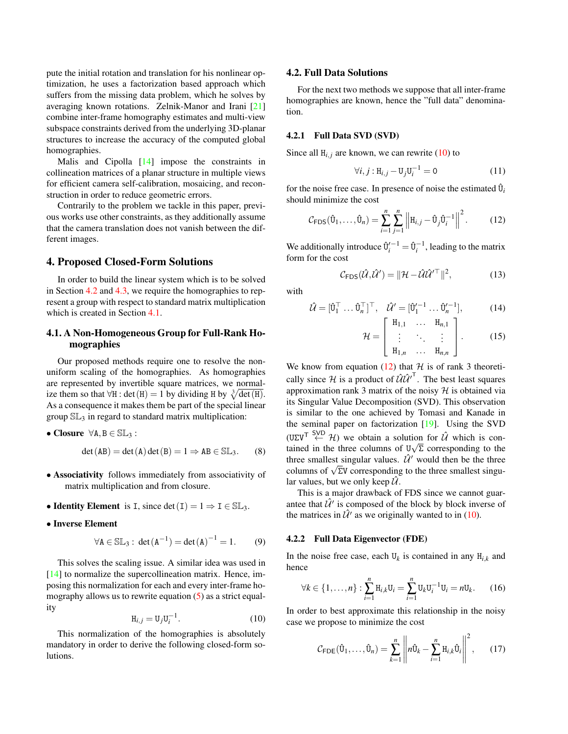<span id="page-2-6"></span>pute the initial rotation and translation for his nonlinear optimization, he uses a factorization based approach which suffers from the missing data problem, which he solves by averaging known rotations. Zelnik-Manor and Irani [\[21\]](#page-7-16) combine inter-frame homography estimates and multi-view subspace constraints derived from the underlying 3D-planar structures to increase the accuracy of the computed global homographies.

Malis and Cipolla [\[14\]](#page-7-5) impose the constraints in collineation matrices of a planar structure in multiple views for efficient camera self-calibration, mosaicing, and reconstruction in order to reduce geometric errors.

Contrarily to the problem we tackle in this paper, previous works use other constraints, as they additionally assume that the camera translation does not vanish between the different images.

# <span id="page-2-0"></span>4. Proposed Closed-Form Solutions

In order to build the linear system which is to be solved in Section [4.2](#page-2-1) and [4.3,](#page-3-1) we require the homographies to represent a group with respect to standard matrix multiplication which is created in Section [4.1.](#page-2-2)

# <span id="page-2-2"></span>4.1. A Non-Homogeneous Group for Full-Rank Homographies

Our proposed methods require one to resolve the nonuniform scaling of the homographies. As homographies are represented by invertible square matrices, we normalize them so that  $\forall H : \det(H) = 1$  by dividing H by  $\sqrt[3]{\det(H)}$ . As a consequence it makes them be part of the special linear group  $SL_3$  in regard to standard matrix multiplication:

$$
\bullet \text{ Closure } \forall A, B \in \mathbb{SL}_3:
$$

$$
\det(AB) = \det(A)\det(B) = 1 \Rightarrow AB \in \mathbb{SL}_3. \tag{8}
$$

- Associativity follows immediately from associativity of matrix multiplication and from closure.
- Identity Element is I, since  $\det(I) = 1 \Rightarrow I \in SL_3$ .
- Inverse Element

$$
\forall \mathbf{A} \in \mathbb{SL}_3 : \det(\mathbf{A}^{-1}) = \det(\mathbf{A})^{-1} = 1. \tag{9}
$$

This solves the scaling issue. A similar idea was used in [\[14\]](#page-7-5) to normalize the supercollineation matrix. Hence, imposing this normalization for each and every inter-frame homography allows us to rewrite equation [\(5\)](#page-1-3) as a strict equality

<span id="page-2-3"></span>
$$
\mathbf{H}_{i,j} = \mathbf{U}_j \mathbf{U}_i^{-1}.
$$
\n(10)

This normalization of the homographies is absolutely mandatory in order to derive the following closed-form solutions.

### <span id="page-2-1"></span>4.2. Full Data Solutions

For the next two methods we suppose that all inter-frame homographies are known, hence the "full data" denomination.

# 4.2.1 Full Data SVD (SVD)

Since all  $H_{i,j}$  are known, we can rewrite  $(10)$  to

$$
\forall i, j: \mathbf{H}_{i,j} - \mathbf{U}_j \mathbf{U}_i^{-1} = 0 \tag{11}
$$

for the noise free case. In presence of noise the estimated  $\hat{U}_i$ should minimize the cost

<span id="page-2-4"></span>
$$
\mathcal{C}_{\mathsf{FDS}}(\hat{\mathbf{U}}_1,\ldots,\hat{\mathbf{U}}_n) = \sum_{i=1}^n \sum_{j=1}^n \left\| \mathbf{H}_{i,j} - \hat{\mathbf{U}}_j \hat{\mathbf{U}}_i^{-1} \right\|^2.
$$
 (12)

We additionally introduce  $\hat{\mathbf{U}}_i^{t-1} = \hat{\mathbf{U}}_i^{-1}$ , leading to the matrix form for the cost

$$
\mathcal{C}_{\text{FDS}}(\hat{\mathcal{U}}, \hat{\mathcal{U}}') = ||\mathcal{H} - \hat{\mathcal{U}}\hat{\mathcal{U}}^{\prime \top}||^2, \tag{13}
$$

with

$$
\hat{\mathcal{U}} = [\hat{\mathbf{U}}_1^\top \dots \hat{\mathbf{U}}_n^\top]^\top, \quad \hat{\mathcal{U}}' = [\hat{\mathbf{U}}_1'^{-1} \dots \hat{\mathbf{U}}_n'^{-1}], \tag{14}
$$

$$
\mathcal{H} = \left[ \begin{array}{ccc} \mathbf{H}_{1,1} & \dots & \mathbf{H}_{n,1} \\ \vdots & \ddots & \vdots \\ \mathbf{H}_{1,n} & \dots & \mathbf{H}_{n,n} \end{array} \right].
$$
 (15)

We know from equation [\(12\)](#page-2-4) that  $H$  is of rank 3 theoretically since H is a product of  $\hat{U} \hat{U}^T$ . The best least squares approximation rank 3 matrix of the noisy  $H$  is obtained via its Singular Value Decomposition (SVD). This observation is similar to the one achieved by Tomasi and Kanade in the seminal paper on factorization [\[19\]](#page-7-17). Using the SVD  $(U\Sigma V^T \stackrel{SVD}{\leftarrow} \mathcal{H})$  we obtain a solution for  $\hat{\mathcal{U}}$  which is contained in the three columns of  $U\sqrt{\Sigma}$  corresponding to the three smallest singular values.  $\hat{\mathcal{U}}'$  would then be the three columns of  $\sqrt{\Sigma V}$  corresponding to the three smallest singular values, but we only keep  $\hat{U}$ .

This is a major drawback of FDS since we cannot guarantee that  $\hat{U}$ <sup>*'*</sup> is composed of the block by block inverse of the matrices in  $\hat{\mathcal{U}}'$  as we originally wanted to in [\(10\)](#page-2-3).

### 4.2.2 Full Data Eigenvector (FDE)

In the noise free case, each  $U_k$  is contained in any  $H_{i,k}$  and hence

<span id="page-2-5"></span>
$$
\forall k \in \{1, \dots, n\} : \sum_{i=1}^{n} \mathbf{H}_{i,k} \mathbf{U}_i = \sum_{i=1}^{n} \mathbf{U}_k \mathbf{U}_i^{-1} \mathbf{U}_i = n \mathbf{U}_k. \tag{16}
$$

In order to best approximate this relationship in the noisy case we propose to minimize the cost

$$
\mathcal{C}_{\mathsf{FDE}}(\hat{\mathbf{U}}_1,\ldots,\hat{\mathbf{U}}_n) = \sum_{k=1}^n \left\| n \hat{\mathbf{U}}_k - \sum_{i=1}^n \mathbf{H}_{i,k} \hat{\mathbf{U}}_i \right\|^2, \qquad (17)
$$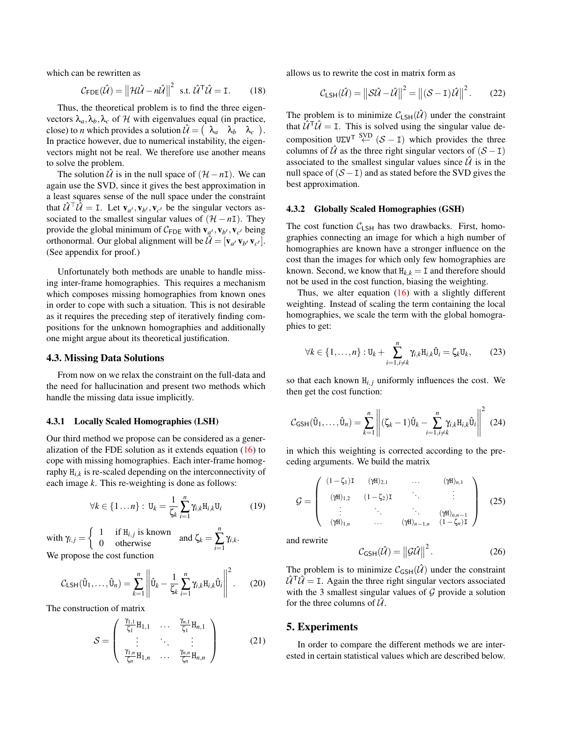which can be rewritten as

$$
C_{\text{FDE}}(\hat{\mathcal{U}}) = ||\mathcal{H}\hat{\mathcal{U}} - n\hat{\mathcal{U}}||^2 \text{ s.t. } \hat{\mathcal{U}}^{\text{T}}\hat{\mathcal{U}} = \mathbf{I}. \qquad (18)
$$

Thus, the theoretical problem is to find the three eigenvectors  $\lambda_a, \lambda_b, \lambda_c$  of H with eigenvalues equal (in practice, close) to *n* which provides a solution  $\hat{\mathcal{U}} = \begin{pmatrix} \lambda_a & \lambda_b & \lambda_c \end{pmatrix}$ . In practice however, due to numerical instability, the eigenvectors might not be real. We therefore use another means to solve the problem.

The solution  $\hat{U}$  is in the null space of  $(\mathcal{H} - nI)$ . We can again use the SVD, since it gives the best approximation in a least squares sense of the null space under the constraint that  $\hat{\mathcal{U}}^{\top} \hat{\mathcal{U}} = I$ . Let  $\mathbf{v}_{a'}, \mathbf{v}_{b'}, \mathbf{v}_{c'}$  be the singular vectors associated to the smallest singular values of  $(H - nI)$ . They provide the global minimum of  $C_{\text{FDE}}$  with  $\mathbf{v}_{a}$ ,  $\mathbf{v}_{b}$ ,  $\mathbf{v}_{c}$ , being orthonormal. Our global alignment will be  $\hat{\mathcal{U}} = [\mathbf{v}_{a'} \, \mathbf{v}_{b'} \, \mathbf{v}_{c'}].$ (See appendix for proof.)

Unfortunately both methods are unable to handle missing inter-frame homographies. This requires a mechanism which composes missing homographies from known ones in order to cope with such a situation. This is not desirable as it requires the preceding step of iteratively finding compositions for the unknown homographies and additionally one might argue about its theoretical justification.

#### <span id="page-3-1"></span>4.3. Missing Data Solutions

From now on we relax the constraint on the full-data and the need for hallucination and present two methods which handle the missing data issue implicitly.

### 4.3.1 Locally Scaled Homographies (LSH)

Our third method we propose can be considered as a generalization of the FDE solution as it extends equation [\(16\)](#page-2-5) to cope with missing homographies. Each inter-frame homography H*i*,*<sup>k</sup>* is re-scaled depending on the interconnectivity of each image *k*. This re-weighting is done as follows:

$$
\forall k \in \{1 \dots n\} : \mathbf{U}_k = \frac{1}{\zeta_k} \sum_{i=1}^n \gamma_{i,k} \mathbf{H}_{i,k} \mathbf{U}_i \tag{19}
$$

with  $\gamma_{i,j} = \begin{cases} 1 & \text{if } H_{i,j} \text{ is known} \\ 0 & \text{otherwise} \end{cases}$  and  $\zeta_k =$ *n* ∑ *i*=1 γ*i*,*k* . We propose the cost function

$$
\mathcal{C}_{\text{LSH}}(\hat{\mathbf{U}}_1,\ldots,\hat{\mathbf{U}}_n) = \sum_{k=1}^n \left\| \hat{\mathbf{U}}_k - \frac{1}{\zeta_k} \sum_{i=1}^n \gamma_{i,k} \mathbf{H}_{i,k} \hat{\mathbf{U}}_i \right\|^2.
$$
 (20)

The construction of matrix

$$
S = \begin{pmatrix} \frac{\gamma_{1,1}}{\zeta_1} H_{1,1} & \dots & \frac{\gamma_{n,1}}{\zeta_1} H_{n,1} \\ \vdots & \ddots & \vdots \\ \frac{\gamma_{1,n}}{\zeta_n} H_{1,n} & \dots & \frac{\gamma_{n,n}}{\zeta_n} H_{n,n} \end{pmatrix}
$$
(21)

allows us to rewrite the cost in matrix form as

$$
C_{\text{LSH}}(\hat{\mathcal{U}}) = ||\mathcal{S}\hat{\mathcal{U}} - \hat{\mathcal{U}}||^2 = ||(\mathcal{S} - \mathbf{I})\hat{\mathcal{U}}||^2. \tag{22}
$$

The problem is to minimize  $C_{LSH}(\hat{U})$  under the constraint that  $\hat{U}^T \hat{U} = I$ . This is solved using the singular value decomposition  $U\Sigma V^{T} \stackrel{\text{SVD}}{\leftarrow} (\mathcal{S} - I)$  which provides the three columns of  $\hat{U}$  as the three right singular vectors of  $(S - I)$ associated to the smallest singular values since  $\hat{U}$  is in the null space of  $(S - I)$  and as stated before the SVD gives the best approximation.

#### 4.3.2 Globally Scaled Homographies (GSH)

The cost function  $C_{LSH}$  has two drawbacks. First, homographies connecting an image for which a high number of homographies are known have a stronger influence on the cost than the images for which only few homographies are known. Second, we know that  $H_{k,k} = I$  and therefore should not be used in the cost function, biasing the weighting.

Thus, we alter equation  $(16)$  with a slightly different weighting. Instead of scaling the term containing the local homographies, we scale the term with the global homographies to get:

$$
\forall k \in \{1,\ldots,n\} : \mathbf{U}_k + \sum_{i=1,i \neq k}^n \gamma_{i,k} \mathbf{H}_{i,k} \hat{\mathbf{U}}_i = \zeta_k \mathbf{U}_k, \qquad (23)
$$

so that each known  $H_{i,j}$  uniformly influences the cost. We then get the cost function:

$$
\mathcal{C}_{\text{GSH}}(\hat{\mathbf{U}}_1,\ldots,\hat{\mathbf{U}}_n) = \sum_{k=1}^n \left\| (\zeta_k - 1)\hat{\mathbf{U}}_k - \sum_{i=1, i \neq k}^n \gamma_{i,k} \mathbf{H}_{i,k} \hat{\mathbf{U}}_i \right\|^2 \tag{24}
$$

in which this weighting is corrected according to the preceding arguments. We build the matrix

$$
\mathcal{G} = \begin{pmatrix}\n(1 - \zeta_1) \mathbf{I} & (\gamma \mathbf{H})_{2,1} & \dots & (\gamma \mathbf{H})_{n,1} \\
(\gamma \mathbf{H})_{1,2} & (1 - \zeta_2) \mathbf{I} & & \vdots \\
\vdots & \vdots & \ddots & \vdots \\
(\gamma \mathbf{H})_{1,n} & \dots & (\gamma \mathbf{H})_{n-1,n} & (1 - \zeta_n) \mathbf{I}\n\end{pmatrix} (25)
$$

and rewrite

$$
C_{\text{GSH}}(\hat{\mathcal{U}}) = ||\mathcal{G}\hat{\mathcal{U}}||^2.
$$
 (26)

The problem is to minimize  $C_{\text{GSH}}(\hat{U})$  under the constraint  $\hat{U}^{\mathsf{T}}\hat{U} = I$ . Again the three right singular vectors associated with the 3 smallest singular values of  $G$  provide a solution for the three columns of  $\hat{U}$ .

### <span id="page-3-0"></span>5. Experiments

In order to compare the different methods we are interested in certain statistical values which are described below.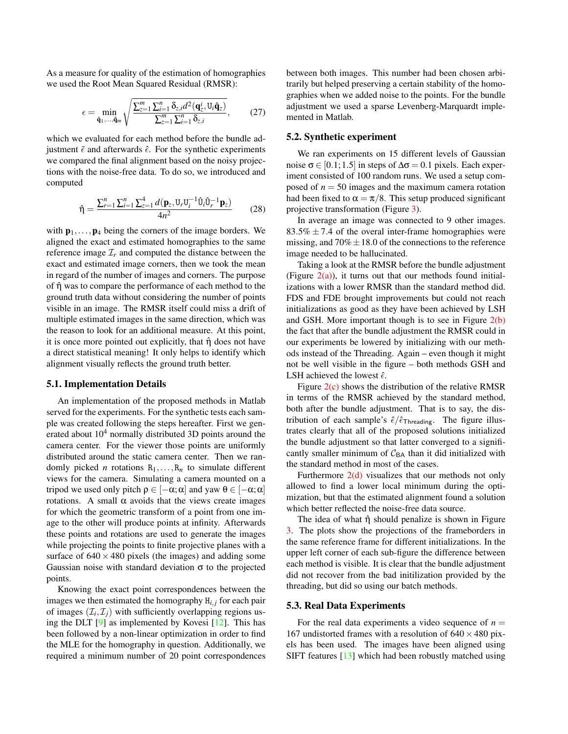<span id="page-4-0"></span>As a measure for quality of the estimation of homographies we used the Root Mean Squared Residual (RMSR):

$$
\epsilon = \min_{\mathbf{\hat{q}}_1,\dots,\mathbf{\hat{q}}_m} \sqrt{\frac{\sum_{z=1}^m \sum_{i=1}^n \delta_{z,i} d^2(\mathbf{q}_z^i, \mathbf{U}_i \mathbf{\hat{q}}_z)}{\sum_{z=1}^m \sum_{i=1}^n \delta_{z,i}}},\tag{27}
$$

which we evaluated for each method before the bundle adjustment  $\tilde{\epsilon}$  and afterwards  $\hat{\epsilon}$ . For the synthetic experiments we compared the final alignment based on the noisy projections with the noise-free data. To do so, we introduced and computed

$$
\hat{\eta} = \frac{\sum_{r=1}^{n} \sum_{i=1}^{n} \sum_{z=1}^{4} d(\mathbf{p}_z, \mathbf{U}_r \mathbf{U}_i^{-1} \hat{\mathbf{U}}_i \hat{\mathbf{U}}_r^{-1} \mathbf{p}_z)}{4n^2}
$$
(28)

with  $\mathbf{p}_1,\ldots,\mathbf{p}_4$  being the corners of the image borders. We aligned the exact and estimated homographies to the same reference image  $\mathcal{I}_r$  and computed the distance between the exact and estimated image corners, then we took the mean in regard of the number of images and corners. The purpose of  $\hat{\eta}$  was to compare the performance of each method to the ground truth data without considering the number of points visible in an image. The RMSR itself could miss a drift of multiple estimated images in the same direction, which was the reason to look for an additional measure. At this point, it is once more pointed out explicitly, that  $\hat{\eta}$  does not have a direct statistical meaning! It only helps to identify which alignment visually reflects the ground truth better.

#### 5.1. Implementation Details

An implementation of the proposed methods in Matlab served for the experiments. For the synthetic tests each sample was created following the steps hereafter. First we generated about  $10<sup>4</sup>$  normally distributed 3D points around the camera center. For the viewer those points are uniformly distributed around the static camera center. Then we randomly picked *n* rotations  $R_1, \ldots, R_n$  to simulate different views for the camera. Simulating a camera mounted on a tripod we used only pitch  $ρ ∈ [-α; α]$  and yaw  $θ ∈ [-α; α]$ rotations. A small  $α$  avoids that the views create images for which the geometric transform of a point from one image to the other will produce points at infinity. Afterwards these points and rotations are used to generate the images while projecting the points to finite projective planes with a surface of  $640 \times 480$  pixels (the images) and adding some Gaussian noise with standard deviation  $\sigma$  to the projected points.

Knowing the exact point correspondences between the images we then estimated the homography  $H_{i,j}$  for each pair of images  $(\mathcal{I}_i, \mathcal{I}_j)$  with sufficiently overlapping regions using the DLT [\[9\]](#page-7-7) as implemented by Kovesi [\[12\]](#page-7-18). This has been followed by a non-linear optimization in order to find the MLE for the homography in question. Additionally, we required a minimum number of 20 point correspondences

between both images. This number had been chosen arbitrarily but helped preserving a certain stability of the homographies when we added noise to the points. For the bundle adjustment we used a sparse Levenberg-Marquardt implemented in Matlab.

# 5.2. Synthetic experiment

We ran experiments on 15 different levels of Gaussian noise  $\sigma \in [0.1; 1.5]$  in steps of  $\Delta \sigma = 0.1$  pixels. Each experiment consisted of 100 random runs. We used a setup composed of  $n = 50$  images and the maximum camera rotation had been fixed to  $\alpha = \pi/8$ . This setup produced significant projective transformation (Figure [3\)](#page-5-0).

In average an image was connected to 9 other images.  $83.5\% \pm 7.4$  of the overal inter-frame homographies were missing, and  $70\% \pm 18.0$  of the connections to the reference image needed to be hallucinated.

Taking a look at the RMSR before the bundle adjustment (Figure  $2(a)$ ), it turns out that our methods found initializations with a lower RMSR than the standard method did. FDS and FDE brought improvements but could not reach initializations as good as they have been achieved by LSH and GSH. More important though is to see in Figure [2\(b\)](#page-5-2) the fact that after the bundle adjustment the RMSR could in our experiments be lowered by initializing with our methods instead of the Threading. Again – even though it might not be well visible in the figure – both methods GSH and LSH achieved the lowest  $\hat{\epsilon}$ .

Figure  $2(c)$  shows the distribution of the relative RMSR in terms of the RMSR achieved by the standard method, both after the bundle adjustment. That is to say, the distribution of each sample's  $\hat{\epsilon}/\hat{\epsilon}_{\text{Threading}}$ . The figure illustrates clearly that all of the proposed solutions initialized the bundle adjustment so that latter converged to a significantly smaller minimum of  $C_{BA}$  than it did initialized with the standard method in most of the cases.

Furthermore  $2(d)$  visualizes that our methods not only allowed to find a lower local minimum during the optimization, but that the estimated alignment found a solution which better reflected the noise-free data source.

The idea of what  $\hat{\eta}$  should penalize is shown in Figure [3.](#page-5-0) The plots show the projections of the frameborders in the same reference frame for different initializations. In the upper left corner of each sub-figure the difference between each method is visible. It is clear that the bundle adjustment did not recover from the bad initilization provided by the threading, but did so using our batch methods.

### 5.3. Real Data Experiments

For the real data experiments a video sequence of  $n =$ 167 undistorted frames with a resolution of  $640 \times 480$  pixels has been used. The images have been aligned using SIFT features [\[13\]](#page-7-19) which had been robustly matched using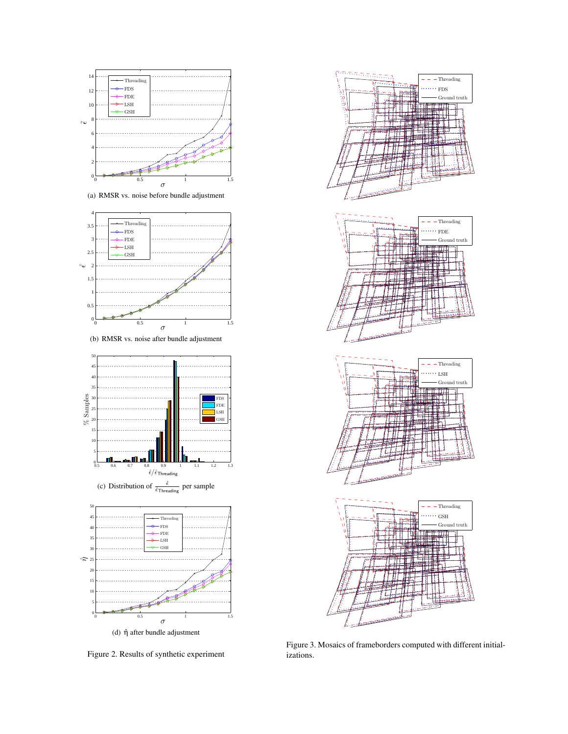<span id="page-5-1"></span>

(a) RMSR vs. noise before bundle adjustment



<span id="page-5-2"></span>(b) RMSR vs. noise after bundle adjustment



<span id="page-5-3"></span>

<span id="page-5-4"></span>Figure 2. Results of synthetic experiment



<span id="page-5-0"></span>Figure 3. Mosaics of frameborders computed with different initializations.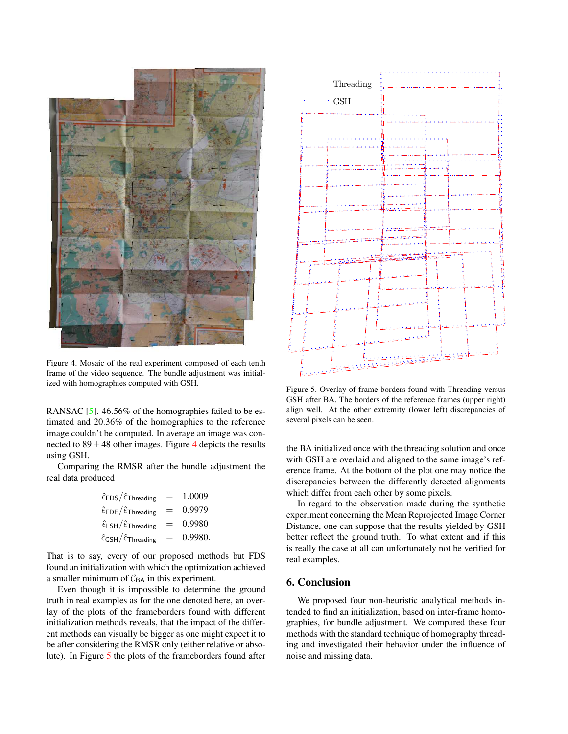<span id="page-6-3"></span>

Figure 4. Mosaic of the real experiment composed of each tenth frame of the video sequence. The bundle adjustment was initialized with homographies computed with GSH.

<span id="page-6-1"></span>RANSAC [\[5\]](#page-7-20). 46.56% of the homographies failed to be estimated and 20.36% of the homographies to the reference image couldn't be computed. In average an image was connected to  $89 \pm 48$  $89 \pm 48$  $89 \pm 48$  other images. Figure 4 depicts the results using GSH.

Comparing the RMSR after the bundle adjustment the real data produced

$$
\begin{aligned}\n\hat{\epsilon}_{\text{FDS}}/\hat{\epsilon}_{\text{Threading}} &= 1.0009 \\
\hat{\epsilon}_{\text{FDE}}/\hat{\epsilon}_{\text{Threading}} &= 0.9979 \\
\hat{\epsilon}_{\text{LSH}}/\hat{\epsilon}_{\text{Threading}} &= 0.9980 \\
\hat{\epsilon}_{\text{GSH}}/\hat{\epsilon}_{\text{Threading}} &= 0.9980.\n\end{aligned}
$$

That is to say, every of our proposed methods but FDS found an initialization with which the optimization achieved a smaller minimum of  $C_{BA}$  in this experiment.

Even though it is impossible to determine the ground truth in real examples as for the one denoted here, an overlay of the plots of the frameborders found with different initialization methods reveals, that the impact of the different methods can visually be bigger as one might expect it to be after considering the RMSR only (either relative or absolute). In Figure [5](#page-6-2) the plots of the frameborders found after



<span id="page-6-2"></span>Figure 5. Overlay of frame borders found with Threading versus GSH after BA. The borders of the reference frames (upper right) align well. At the other extremity (lower left) discrepancies of several pixels can be seen.

the BA initialized once with the threading solution and once with GSH are overlaid and aligned to the same image's reference frame. At the bottom of the plot one may notice the discrepancies between the differently detected alignments which differ from each other by some pixels.

In regard to the observation made during the synthetic experiment concerning the Mean Reprojected Image Corner Distance, one can suppose that the results yielded by GSH better reflect the ground truth. To what extent and if this is really the case at all can unfortunately not be verified for real examples.

# <span id="page-6-0"></span>6. Conclusion

We proposed four non-heuristic analytical methods intended to find an initialization, based on inter-frame homographies, for bundle adjustment. We compared these four methods with the standard technique of homography threading and investigated their behavior under the influence of noise and missing data.